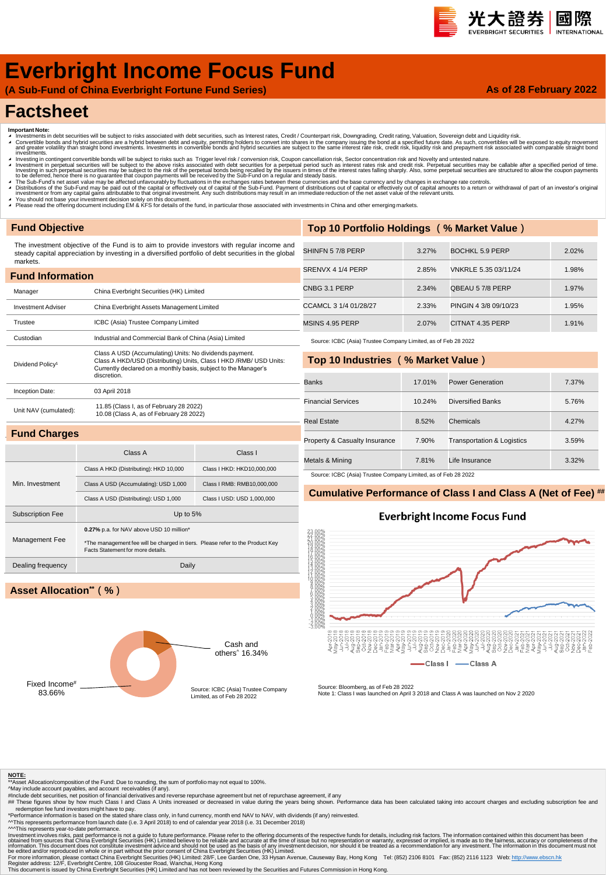#### 光大證券 國際 **INTERNATION**

**As of 28 February 2022**

# **Everbright Income Focus Fund**

**(A Sub-Fund of China Everbright Fortune Fund Series)**

## **Factsheet**

- 
- Important Note:<br>▲ Investments in debt securities will be subject to risks associated with debt securities, such as Interest rates, Credit / Counterpart risk, Downgrading, Credit rating, Valuation, Sovereign debt and Liqui
- ◢ Investing in contingent convertible bonds will be subject to risks such as Trigger level risk / conversion risk, Coupon cancellation risk, Sector concentration risk and Novelty and untested nature. Investment in perpetual securities will be subject to the above risks associated with debt securities for a perpetual period such as interest rates risk and credit risk. Perpetual securities may be callable after a specifi
- ▲ The Sub-Fund's net asset value may be affected unfavourably by fluctuations in the exchanges rates between these currencies and the base currency and by changes in exchange rate controls.<br>▲ Distributions of the Sub-Fund
- 
- ∡ You should not base your investment decision solely on this document.<br>◢ Please read the offering document including EM & KFS for details of the fund, in particular those associated with investments in China and other em

### **Fund Objective**

The investment objective of the Fund is to aim to provide investors with regular income and steady capital appreciation by investing in a diversified portfolio of debt securities in the global markets.

| <b>Fund Information</b>      |                                                                                                                                                                                                                  |  |  |  |  |  |
|------------------------------|------------------------------------------------------------------------------------------------------------------------------------------------------------------------------------------------------------------|--|--|--|--|--|
| Manager                      | China Everbright Securities (HK) Limited                                                                                                                                                                         |  |  |  |  |  |
| <b>Investment Adviser</b>    | China Everbright Assets Management Limited                                                                                                                                                                       |  |  |  |  |  |
| Trustee                      | ICBC (Asia) Trustee Company Limited                                                                                                                                                                              |  |  |  |  |  |
| Custodian                    | Industrial and Commercial Bank of China (Asia) Limited                                                                                                                                                           |  |  |  |  |  |
| Dividend Policy <sup>1</sup> | Class A USD (Accumulating) Units: No dividends payment.<br>Class A HKD/USD (Distributing) Units, Class I HKD / RMB/ USD Units:<br>Currently declared on a monthly basis, subject to the Manager's<br>discretion. |  |  |  |  |  |
| Inception Date:              | 03 April 2018                                                                                                                                                                                                    |  |  |  |  |  |
| Unit NAV (cumulated):        | 11.85 (Class I, as of February 28 2022)<br>10.08 (Class A, as of February 28 2022)                                                                                                                               |  |  |  |  |  |
| <b>Fund Charges</b>          |                                                                                                                                                                                                                  |  |  |  |  |  |

| Top 10 Portfolio Holdings (% Market Value) |       |                        |       |  |  |  |
|--------------------------------------------|-------|------------------------|-------|--|--|--|
|                                            |       |                        |       |  |  |  |
| SHINFN 57/8 PERP                           | 3.27% | <b>BOCHKL 5.9 PERP</b> | 2.02% |  |  |  |
| SRENVX 4 1/4 PERP                          | 2.85% | VNKRLE 5.35 03/11/24   | 1.98% |  |  |  |
| CNBG 3.1 PERP                              | 2.34% | QBEAU 57/8 PERP        | 1.97% |  |  |  |
| CCAMCL 3 1/4 01/28/27                      | 2.33% | PINGIN 4 3/8 09/10/23  | 1.95% |  |  |  |
| MSINS 4.95 PERP                            | 2.07% | CITNAT 4.35 PERP       | 1.91% |  |  |  |

Source: ICBC (Asia) Trustee Company Limited, as of Feb 28 2022

#### **Top 10 Industries (% Market Value)**

| <b>Banks</b>                  | 17.01% | Power Generation                      | 7.37% |
|-------------------------------|--------|---------------------------------------|-------|
| <b>Financial Services</b>     | 10.24% | Diversified Banks                     | 5.76% |
| Real Estate                   | 8.52%  | Chemicals                             | 4.27% |
| Property & Casualty Insurance | 7.90%  | <b>Transportation &amp; Logistics</b> | 3.59% |
| Metals & Mining               | 7.81%  | Life Insurance                        | 3.32% |

ource: ICBC (Asia) Trustee Company Limited, as of Feb 28 2022

#### **Cumulative Performance of Class I and Class A (Net of Fee) ##**

### **Everbright Income Focus Fund**

흡흥흥

**Class A** 



Class A Class I

Class A HKD (Distributing): HKD 10,000 Class I HKD: HKD10,000,000 Class A USD (Accumulating): USD 1,000 Class I RMB: RMB10,000,000

### **Asset Allocation\*\*(%)**

Min. Investment



Source: Bloomberg, as of Feb 28 2022 Note 1: Class I was launched on April 3 2018 and Class A was launched on Nov 2 2020

Class I

**NOTE:** \*\*Asset Allocation/composition of the Fund: Due to rounding, the sum of portfolio may not equal to 100%.

- 
- ^May include account payables, and account receivables (if any).<br>#Include debt securities, net position of financial derivatives and reverse repurchase agreement but net of repurchase agreement, if any<br>## These figures sho

redemption fee fund investors might have to pay.<br>"Performance information is based on the stated share class only, in fund currency, month end NAV to NAV, with dividends (if any) reinvested.<br>^^This represents performance

^^^This represents year-to-date performance.

Investment involves risks, past performance is not a guide to future performance. Please refer to the offering documents of the expective substanced from sources that China Everbright Securities (HK) Limited believe to be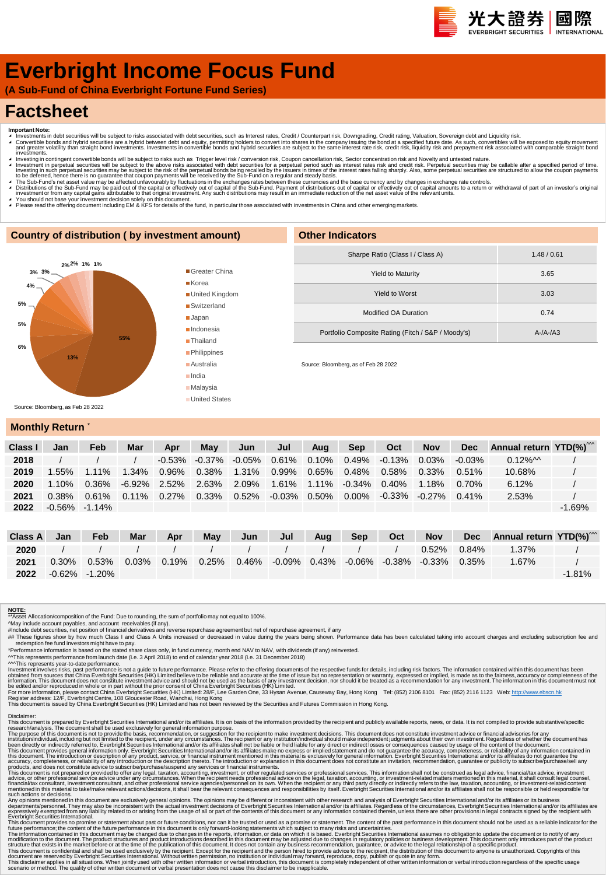# **Everbright Income Focus Fund**

**(A Sub-Fund of China Everbright Fortune Fund Series)**

## **Factsheet**

- 
- Important Note:<br>▲ Investments in debt securities will be subject to risks associated with debt securities, such as Interest rates, Credit / Counterpart risk, Downgrading, Credit rating, Valuation, Sovereign debt and Equid ◢ Investing in contingent convertible bonds will be subject to risks such as Trigger level risk / conversion risk, Coupon cancellation risk, Sector concentration risk and Novelty and untested nature.
- Investment in perpetual securities will be subject to the above risks associated with debt securities for a perpetual period such as interest rates risk and credit risk. Perpetual securities may be callable after a specifi
- A The Sub-Fund's net asset value may be affected unfavourably by fluctuations in the exchanges rates between these currencies and the base currency and by changes in exchange rate controls.<br>A Distributions of the Sub-Fund
- 
- ∡ You should not base your investment decision solely on this document.<br>▲ Please read the offering document including EM & KFS for details of the fund, in particular those associated with investments in China and other em

#### **Country of distribution ( by investment amount)**



| <b>Other Indicators</b>                            |                 |  |  |  |  |  |
|----------------------------------------------------|-----------------|--|--|--|--|--|
| Sharpe Ratio (Class I / Class A)                   | 1.48/0.61       |  |  |  |  |  |
| <b>Yield to Maturity</b>                           | 3.65            |  |  |  |  |  |
| Yield to Worst                                     | 3.03            |  |  |  |  |  |
| Modified OA Duration                               | 0.74            |  |  |  |  |  |
| Portfolio Composite Rating (Fitch / S&P / Moody's) | $A - /A - /A$ 3 |  |  |  |  |  |
|                                                    |                 |  |  |  |  |  |

Source: Bloomberg, as of Feb 28 2022

### **Monthly Return**

| Class I | Jan               | Feb      | Mar      | Apr       | May      | Jun                       | Jul            | Aua   | <b>Sep</b>                  | Oct                 | <b>Nov</b> | <b>Dec</b> | Annual return YTD(%) <sup>***</sup> |          |
|---------|-------------------|----------|----------|-----------|----------|---------------------------|----------------|-------|-----------------------------|---------------------|------------|------------|-------------------------------------|----------|
| 2018    |                   |          |          | $-0.53\%$ |          | $-0.37\%$ $-0.05\%$ 0.61% |                | 0.10% | $0.49\%$                    | $-0.13\%$           | 0.03%      | $-0.03\%$  | $0.12\%$ M                          |          |
| 2019    | .55%              | $1.11\%$ | $1.34\%$ | 0.96%     | 0.38%    | 1.31%                     | 0.99%          |       | 0.65% 0.48%                 | 0.58%               | $0.33\%$   | $0.51\%$   | 10.68%                              |          |
| 2020    | $1.10\%$          | 0.36%    | -6.92%   | 2.52%     |          | 2.63% 2.09% 1.61%         |                |       | $1.11\%$ $-0.34\%$ $0.40\%$ |                     | 1.18%      | 0.70%      | 6.12%                               |          |
| 2021    | $0.38\%$          | 0.61%    | $0.11\%$ | $0.27\%$  | $0.33\%$ | $0.52\%$                  | -0.03%   0.50% |       | 0.00%                       | $-0.33\%$ $-0.27\%$ |            | $0.41\%$   | 2.53%                               |          |
| 2022    | $-0.56\% -1.14\%$ |          |          |           |          |                           |                |       |                             |                     |            |            |                                     | $-1.69%$ |

| Class A | Jan      | Feb                 | <b>Mar</b> | Apr | May | Jun | Jul | Aug | Sep | Oct | <b>Nov</b>                                                                                             | Dec Annual return YTD(%) <sup>***</sup> |           |
|---------|----------|---------------------|------------|-----|-----|-----|-----|-----|-----|-----|--------------------------------------------------------------------------------------------------------|-----------------------------------------|-----------|
| 2020    |          |                     |            |     |     |     |     |     |     |     | 0.52% 0.84%                                                                                            | 1.37%                                   |           |
| 2021    | $0.30\%$ |                     |            |     |     |     |     |     |     |     | $0.53\%$ $0.03\%$ $0.19\%$ $0.25\%$ $0.46\%$ $-0.09\%$ $0.43\%$ $-0.06\%$ $-0.38\%$ $-0.33\%$ $0.35\%$ | 1.67%                                   |           |
| 2022    |          | $-0.62\%$ $-1.20\%$ |            |     |     |     |     |     |     |     |                                                                                                        |                                         | $-1.81\%$ |

#### **NOTE:**

\*\*Asset Allocation/composition of the Fund: Due to rounding, the sum of portfolio may not equal to 100%.

^May include account payables, and account receivables (if any).<br>#Include debt securities, net position of financial derivatives and reverse repurchase agreement but net of repurchase agreement, if any<br>## These figures sho

redemption fee fund investors might have to pay.<br>"Performance information is based on the stated share class only, in fund currency, month end NAV to NAV, with dividends (if any) reinvested.<br>^^This represents performance f

Investment involves risks, past performance is not a guide to future performance. Please refer to the offering documents of the expective substanced from sources that China Everbright Securities (HK) Limited believe to be

Disclaimer:<br>This document is prepared by Everbright Securities International and/or its affiliates. It is on basis of the information provided by the recipient and publicly available reports, news, or data. It is not compi

The purpose of this document is not to provide the basis, recommendation, or suggestion for the recipient to make investment decisions. This document divident his metally advisories for any incrument and the metally includ

Any opinion mentioned in this document are exclusively general opinions. The opinions may be different or inconsistent with the research and and/or its affiliates. or its busines mentioned in this document are served by it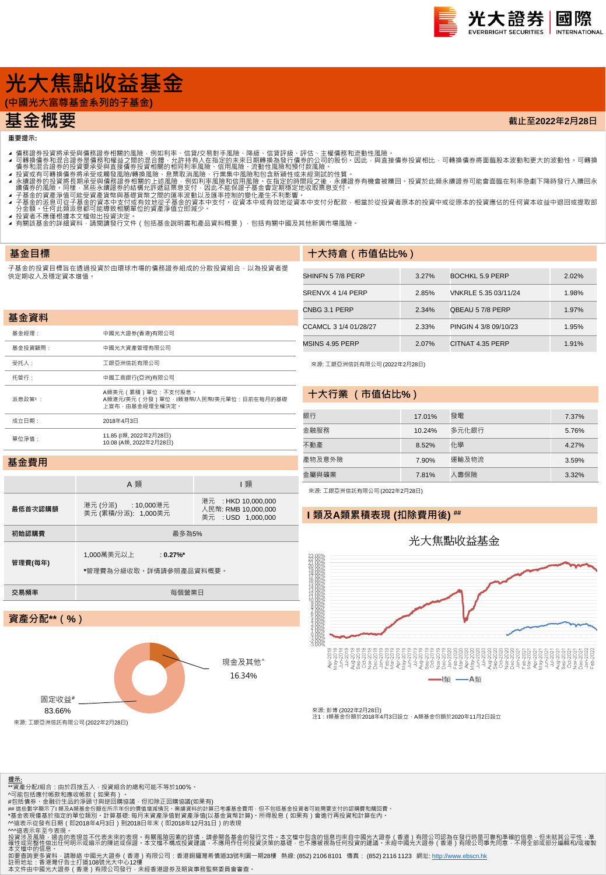

**截止至2022年2月28日**

# **光大焦點收益基金**

**(中國光大富尊基金系列的子基金)**

## **基金概要**

**重要提示:**

- 
- 4 可轉證券投資將承受與情務證券相關的風險,例如利率、信貸次易對手風險、降線、信貸評級、評估、主權債務和流動性風險。<br>4 可轉換債務業投資將承受與情務額證外相關的風險,例如利率、信貸次易對手風險、降風、有限部級行情勞的公司的股份,因此,與直接債券投資相比,可轉換債券將面臨股本波動和更大的波動性 可轉換<br>4 債券和混合證券的投資要承受與直接債券投資相關的相同利率風險、行業集中風險和頂待付款風險 •<br>1 積分和混合證券的投資要承受要項資
- 
- 
- 
- 
- ▲ 投資者不應惶恨據本又僵做出投資決定 。<br>▲ 有關該基金的詳細資料 · 請閱讀發行文件(包括基金說明書和產品資料概要) · 包括有關中國及其他新興市場風險 ·

#### **基金目標**

**基金資料**

 $\frac{1}{\sqrt{2}}$ 

子基金的投資目標旨在透過投資於由環球市場的債務證券組成的分散投資組合,以為投資者提 供定期收入及穩定資本增值。

| 十大持倉 (市值佔比%) |
|--------------|
|              |

|         |                                                                  | <b>CNBG3</b> |
|---------|------------------------------------------------------------------|--------------|
| 甚金資料    |                                                                  | <b>CCAMC</b> |
| 基金經理:   | 中國光大證券(香港)有限公司                                                   |              |
| 基金投資顧問: | 中國光大資產管理有限公司                                                     | <b>MSINS</b> |
| 受托人:    | 工銀亞洲信託有限公司                                                       | 來源:          |
| 托管行:    | 中國工商銀行(亞洲)有限公司                                                   |              |
| 派息政策1:  | A類美元 ( 累積 ) 單位 : 不支付股息。<br>A類港元/美元 (分發)單位·I類港幣/人民幣/美元單位:目前在每月的基礎 |              |
|         | 上宣布‧由基金經理全權決定‧                                                   |              |
| 成立日期:   | 2018年4月3日                                                        | 銀行           |
|         | 11.85 (l類, 2022年2月28日)<br>10.08 (A類, 2022年2月28日)                 |              |
| 單位淨值:   |                                                                  |              |

| SHINFN 57/8 PERP      | 3.27% | BOCHKL 5.9 PERP       | 2.02% |
|-----------------------|-------|-----------------------|-------|
| SRENVX 4 1/4 PERP     | 2.85% | VNKRLE 5.35 03/11/24  | 1.98% |
| CNBG 3.1 PERP         | 2.34% | QBEAU 5 7/8 PERP      | 1.97% |
| CCAMCL 3 1/4 01/28/27 | 2.33% | PINGIN 4 3/8 09/10/23 | 1.95% |
| MSINS 4.95 PERP       | 2.07% | CITNAT 4.35 PERP      | 1.91% |

來源: 工銀亞洲信託有限公司 (2022年2月28日)

#### **十大行業 (市值佔比%)**

| 銀行     | 17.01% | 發電    | 7.37% |
|--------|--------|-------|-------|
| 金融服務   | 10.24% | 多元化銀行 | 5.76% |
| 不動產    | 8.52%  | 化學    | 4.27% |
| 產物及意外險 | 7.90%  | 運輸及物流 | 3.59% |
| 金屬與礦業  | 7.81%  | 人壽保險  | 3.32% |

#### **基金費用**

**提示**:

|            | A 類                                                  | 類                                                                |  |  |  |  |
|------------|------------------------------------------------------|------------------------------------------------------------------|--|--|--|--|
| 最低首次認購額    | 港元 (分派) : 10,000港元<br>美元 (累積/分派): 1,000美元            | 港元 : HKD 10,000,000<br>人民幣: RMB 10.000.000<br>美元 : USD 1,000,000 |  |  |  |  |
| 初始認購費      | 最多為5%                                                |                                                                  |  |  |  |  |
| 管理費(每年)    | 1.000萬美元以上<br>: $0.27\%$ *<br>*管理費為分級收取。詳情請參照產品資料概要。 |                                                                  |  |  |  |  |
| 交易頻率       | 每個營業日                                                |                                                                  |  |  |  |  |
|            |                                                      |                                                                  |  |  |  |  |
| 資產分配** (%) |                                                      |                                                                  |  |  |  |  |

## 來源: 工銀亞洲信託有限公司 (2022年2月28日)

### **I 類及A類累積表現 (扣除費用後) ##**





來源: 彭博 (2022年2月28日)<br>注1:I類基金份額於2018年4月3日設立,A類基金份額於2020年11月2日設立

| 固定收益#<br>83.66%            |  |
|----------------------------|--|
| 來源: 工銀亞洲信託有限公司(2022年2月28日) |  |

\*\*資產分配/組合:由於四捨五入 · 投資組合的總和可能不等於100% ·<br>^可能包括應付帳款和應收帳款(如果有) ·





\*基金表現僅基於指定的單位類別・計算基礎: 每月末資產淨值對資產淨值(以基金貨幣計算)・所得股息(如果有)會進行再投資和計算在內・<br>^^遠表示從發布日期(即2018年4月3日)到2018日年末(即2018年12月31日)的表現<br>^^遠表示不至今表現。<br>投資涉及風險・過去的表現並不代表未來的表現・有關風險因素的詳情:請參閱各基金的發行文件・本文檔中包含的信息均來自中國光大證券(香港)有限公司認為在發行時是可靠和準確的信息・但未就其公平性・

本文檔中的信息 •<br>如要查詢更多資料 · 請聯絡 中國光大證券(香港)有限公司:香港銅鑼灣希慎道33號利園一期28樓 熱線: (852) 2106 8101 傳真: (852) 2116 1123 網址: [http://www.ebscn.hk](http://www.ebscn.hk/) 註冊地址:香港灣仔告士打道108號光大中心12樓<br>本文件由中國光大證券(香港)有限公司發行‧未經香港證券及期貨事務監察委員會審查。

現金及其他^ 16.34%